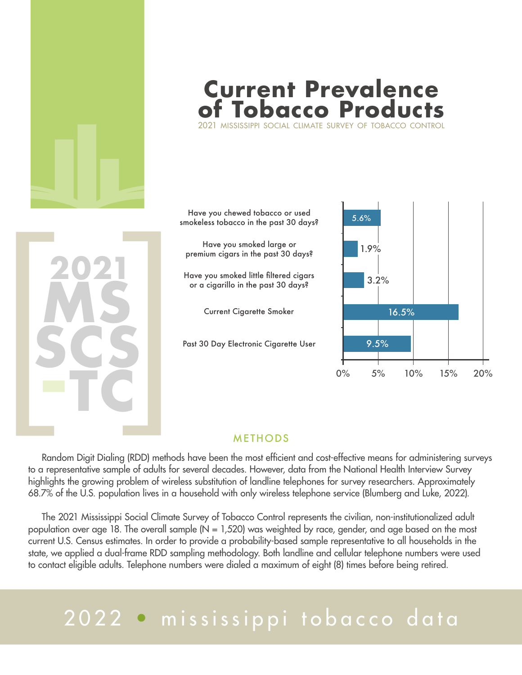

## **Current Prevalence Tobacco Product**

2021 mississippi social climate survey of tobacco control

**ms scs -tc 2021**<br> **2021**<br> **2022**<br> **2025** 

Have you chewed tobacco or used smokeless tobacco in the past 30 days? Have you smoked large or premium cigars in the past 30 days? Have you smoked little filtered cigars  $\frac{1}{2}$  or a cigarillo in the past 30 days?

Current Cigarette Smoker 16.5%

Past 30 Day Electronic Cigarette User



## **METHODS**

 Random Digit Dialing (RDD) methods have been the most efficient and cost-effective means for administering surveys to a representative sample of adults for several decades. However, data from the National Health Interview Survey highlights the growing problem of wireless substitution of landline telephones for survey researchers. Approximately 68.7% of the U.S. population lives in a household with only wireless telephone service (Blumberg and Luke, 2022).

 The 2021 Mississippi Social Climate Survey of Tobacco Control represents the civilian, non-institutionalized adult population over age 18. The overall sample ( $N = 1,520$ ) was weighted by race, gender, and age based on the most current U.S. Census estimates. In order to provide a probability-based sample representative to all households in the state, we applied a dual-frame RDD sampling methodology. Both landline and cellular telephone numbers were used to contact eligible adults. Telephone numbers were dialed a maximum of eight (8) times before being retired.

## 2022 • mississippi tobacco data